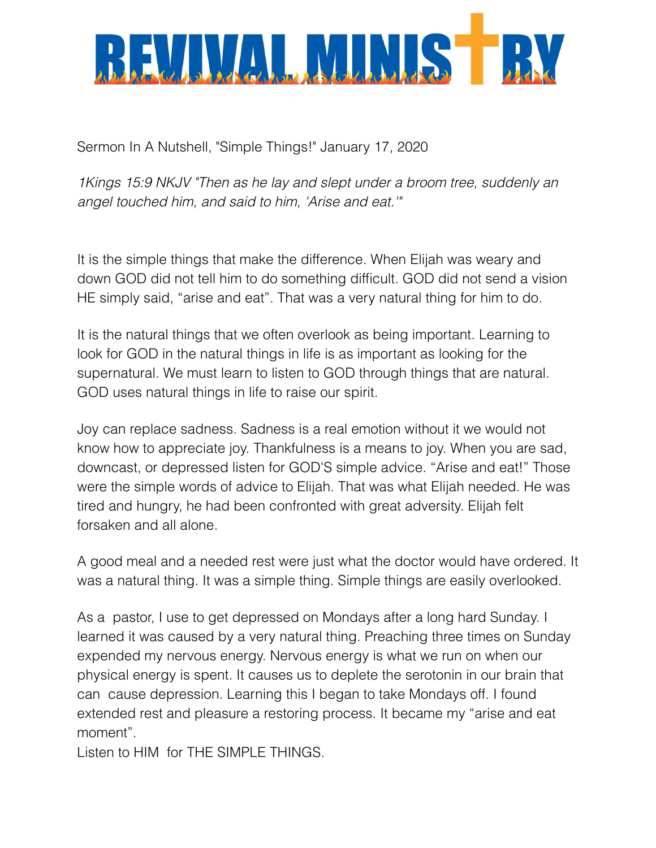

Sermon In A Nutshell, "Simple Things!" January 17, 2020

*1Kings 15:9 NKJV "Then as he lay and slept under a broom tree, suddenly an angel touched him, and said to him, 'Arise and eat.'"*

It is the simple things that make the difference. When Elijah was weary and down GOD did not tell him to do something difficult. GOD did not send a vision HE simply said, "arise and eat". That was a very natural thing for him to do.

It is the natural things that we often overlook as being important. Learning to look for GOD in the natural things in life is as important as looking for the supernatural. We must learn to listen to GOD through things that are natural. GOD uses natural things in life to raise our spirit.

Joy can replace sadness. Sadness is a real emotion without it we would not know how to appreciate joy. Thankfulness is a means to joy. When you are sad, downcast, or depressed listen for GOD'S simple advice. "Arise and eat!" Those were the simple words of advice to Elijah. That was what Elijah needed. He was tired and hungry, he had been confronted with great adversity. Elijah felt forsaken and all alone.

A good meal and a needed rest were just what the doctor would have ordered. It was a natural thing. It was a simple thing. Simple things are easily overlooked.

As a pastor, I use to get depressed on Mondays after a long hard Sunday. I learned it was caused by a very natural thing. Preaching three times on Sunday expended my nervous energy. Nervous energy is what we run on when our physical energy is spent. It causes us to deplete the serotonin in our brain that can cause depression. Learning this I began to take Mondays off. I found extended rest and pleasure a restoring process. It became my "arise and eat moment".

Listen to HIM for THE SIMPLE THINGS.